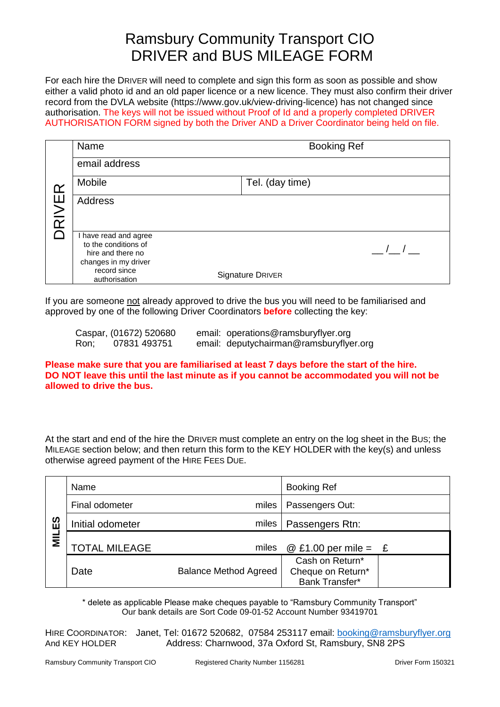## Ramsbury Community Transport CIO DRIVER and BUS MILEAGE FORM

For each hire the DRIVER will need to complete and sign this form as soon as possible and show either a valid photo id and an old paper licence or a new licence. They must also confirm their driver record from the DVLA website (https://www.gov.uk/view-driving-licence) has not changed since authorisation. The keys will not be issued without Proof of Id and a properly completed DRIVER AUTHORISATION FORM signed by both the Driver AND a Driver Coordinator being held on file.

|          | Name                                                                                     | <b>Booking Ref</b> |  |  |
|----------|------------------------------------------------------------------------------------------|--------------------|--|--|
|          | email address                                                                            |                    |  |  |
| <u>ഹ</u> | Mobile                                                                                   | Tel. (day time)    |  |  |
| RIVEI    | <b>Address</b>                                                                           |                    |  |  |
|          | have read and agree<br>to the conditions of<br>hire and there no<br>changes in my driver | $\frac{1}{2}$      |  |  |
|          | record since<br>authorisation                                                            | Signature DRIVER   |  |  |

If you are someone not already approved to drive the bus you will need to be familiarised and approved by one of the following Driver Coordinators **before** collecting the key:

|      | Caspar, (01672) 520680 | email: operations@ramsburyflyer.org     |
|------|------------------------|-----------------------------------------|
| Ron; | 07831 493751           | email: deputychairman@ramsburyflyer.org |

**Please make sure that you are familiarised at least 7 days before the start of the hire. DO NOT leave this until the last minute as if you cannot be accommodated you will not be allowed to drive the bus.**

At the start and end of the hire the DRIVER must complete an entry on the log sheet in the BUS; the MILEAGE section below; and then return this form to the KEY HOLDER with the key(s) and unless otherwise agreed payment of the HIRE FEES DUE.

|           | Name                 |                              | <b>Booking Ref</b>                                     |
|-----------|----------------------|------------------------------|--------------------------------------------------------|
|           | Final odometer       | miles                        | Passengers Out:                                        |
| ပြို<br>Ξ | Initial odometer     | miles                        | Passengers Rtn:                                        |
|           | <b>TOTAL MILEAGE</b> | miles                        | @ £1.00 per mile = $E$                                 |
|           | Date                 | <b>Balance Method Agreed</b> | Cash on Return*<br>Cheque on Return*<br>Bank Transfer* |

\* delete as applicable Please make cheques payable to "Ramsbury Community Transport" Our bank details are Sort Code 09-01-52 Account Number 93419701

HIRE COORDINATOR: Janet, Tel: 01672 520682, 07584 253117 email: [booking@ramsburyflyer.org](mailto:booking@ramsburyflyer.org) And KEY HOLDER Address: Charnwood, 37a Oxford St, Ramsbury, SN8 2PS